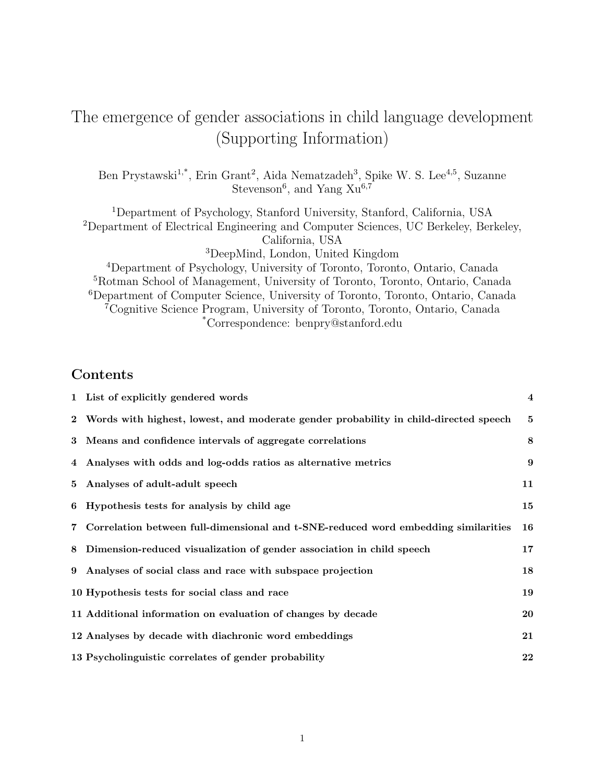# The emergence of gender associations in child language development (Supporting Information)

Ben Prystawski<sup>1,\*</sup>, Erin Grant<sup>2</sup>, Aida Nematzadeh<sup>3</sup>, Spike W. S. Lee<sup>4,5</sup>, Suzanne Stevenson<sup>6</sup>, and Yang  $Xu^{6,7}$ 

Department of Psychology, Stanford University, Stanford, California, USA Department of Electrical Engineering and Computer Sciences, UC Berkeley, Berkeley, California, USA DeepMind, London, United Kingdom

Department of Psychology, University of Toronto, Toronto, Ontario, Canada Rotman School of Management, University of Toronto, Toronto, Ontario, Canada Department of Computer Science, University of Toronto, Toronto, Ontario, Canada Cognitive Science Program, University of Toronto, Toronto, Ontario, Canada \*Correspondence: benpry@stanford.edu

### Contents

|       | 1 List of explicitly gendered words                                                    | $\overline{\mathbf{4}}$ |
|-------|----------------------------------------------------------------------------------------|-------------------------|
|       | 2 Words with highest, lowest, and moderate gender probability in child-directed speech | 5                       |
|       | 3 Means and confidence intervals of aggregate correlations                             | 8                       |
|       | 4 Analyses with odds and log-odds ratios as alternative metrics                        | 9                       |
|       | 5 Analyses of adult-adult speech                                                       | 11                      |
|       | 6 Hypothesis tests for analysis by child age                                           | 15                      |
| $7 -$ | Correlation between full-dimensional and t-SNE-reduced word embedding similarities     | 16                      |
| 8     | Dimension-reduced visualization of gender association in child speech                  | 17                      |
| 9     | Analyses of social class and race with subspace projection                             | 18                      |
|       | 10 Hypothesis tests for social class and race                                          | 19                      |
|       | 11 Additional information on evaluation of changes by decade                           | 20                      |
|       | 12 Analyses by decade with diachronic word embeddings                                  | 21                      |
|       | 13 Psycholinguistic correlates of gender probability                                   | 22                      |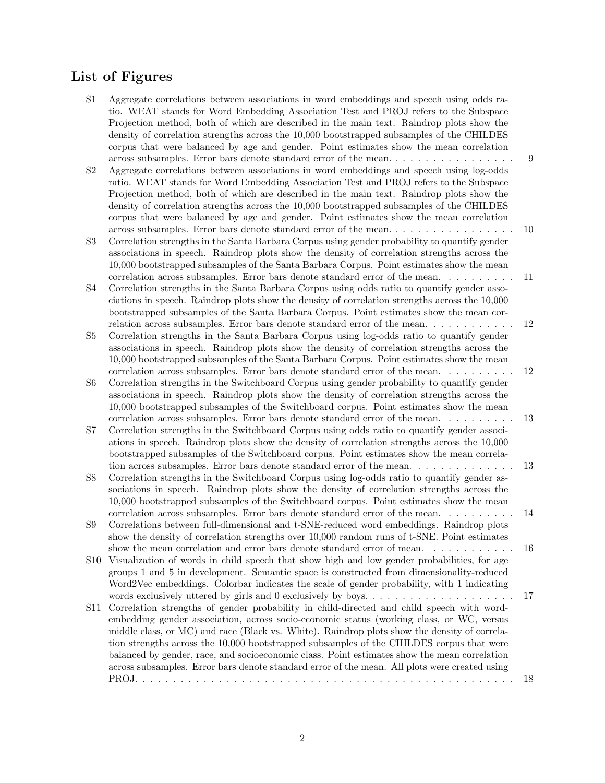#### List of Figures

- S1 Aggregate correlations between associations in word embeddings and speech using odds ratio. WEAT stands for Word Embedding Association Test and PROJ refers to the Subspace Projection method, both of which are described in the main text. Raindrop plots show the density of correlation strengths across the 10,000 bootstrapped subsamples of the CHILDES corpus that were balanced by age and gender. Point estimates show the mean correlation across subsamples. Error bars denote standard error of the mean. . . . . . . . . . . . . . . . . 9
- S2 Aggregate correlations between associations in word embeddings and speech using log-odds ratio. WEAT stands for Word Embedding Association Test and PROJ refers to the Subspace Projection method, both of which are described in the main text. Raindrop plots show the density of correlation strengths across the 10,000 bootstrapped subsamples of the CHILDES corpus that were balanced by age and gender. Point estimates show the mean correlation across subsamples. Error bars denote standard error of the mean. . . . . . . . . . . . . . . . . 10
- S3 Correlation strengths in the Santa Barbara Corpus using gender probability to quantify gender associations in speech. Raindrop plots show the density of correlation strengths across the 10,000 bootstrapped subsamples of the Santa Barbara Corpus. Point estimates show the mean correlation across subsamples. Error bars denote standard error of the mean. . . . . . . . . . 11
- S4 Correlation strengths in the Santa Barbara Corpus using odds ratio to quantify gender associations in speech. Raindrop plots show the density of correlation strengths across the 10,000 bootstrapped subsamples of the Santa Barbara Corpus. Point estimates show the mean correlation across subsamples. Error bars denote standard error of the mean. . . . . . . . . . . 12
- S5 Correlation strengths in the Santa Barbara Corpus using log-odds ratio to quantify gender associations in speech. Raindrop plots show the density of correlation strengths across the 10,000 bootstrapped subsamples of the Santa Barbara Corpus. Point estimates show the mean correlation across subsamples. Error bars denote standard error of the mean. . . . . . . . . . 12
- S6 Correlation strengths in the Switchboard Corpus using gender probability to quantify gender associations in speech. Raindrop plots show the density of correlation strengths across the 10,000 bootstrapped subsamples of the Switchboard corpus. Point estimates show the mean correlation across subsamples. Error bars denote standard error of the mean. . . . . . . . . . 13
- S7 Correlation strengths in the Switchboard Corpus using odds ratio to quantify gender associations in speech. Raindrop plots show the density of correlation strengths across the 10,000 bootstrapped subsamples of the Switchboard corpus. Point estimates show the mean correlation across subsamples. Error bars denote standard error of the mean. . . . . . . . . . . . . . 13
- S8 Correlation strengths in the Switchboard Corpus using log-odds ratio to quantify gender associations in speech. Raindrop plots show the density of correlation strengths across the 10,000 bootstrapped subsamples of the Switchboard corpus. Point estimates show the mean correlation across subsamples. Error bars denote standard error of the mean. . . . . . . . . . 14
- S9 Correlations between full-dimensional and t-SNE-reduced word embeddings. Raindrop plots show the density of correlation strengths over 10,000 random runs of t-SNE. Point estimates show the mean correlation and error bars denote standard error of mean. . . . . . . . . . . 16
- S10 Visualization of words in child speech that show high and low gender probabilities, for age groups 1 and 5 in development. Semantic space is constructed from dimensionality-reduced Word2Vec embeddings. Colorbar indicates the scale of gender probability, with 1 indicating words exclusively uttered by girls and 0 exclusively by boys.  $\dots \dots \dots \dots \dots \dots \dots \dots$
- S11 Correlation strengths of gender probability in child-directed and child speech with wordembedding gender association, across socio-economic status (working class, or WC, versus middle class, or MC) and race (Black vs. White). Raindrop plots show the density of correlation strengths across the 10,000 bootstrapped subsamples of the CHILDES corpus that were balanced by gender, race, and socioeconomic class. Point estimates show the mean correlation across subsamples. Error bars denote standard error of the mean. All plots were created using PROJ. . . . . . . . . . . . . . . . . . . . . . . . . . . . . . . . . . . . . . . . . . . . . . . . . . 18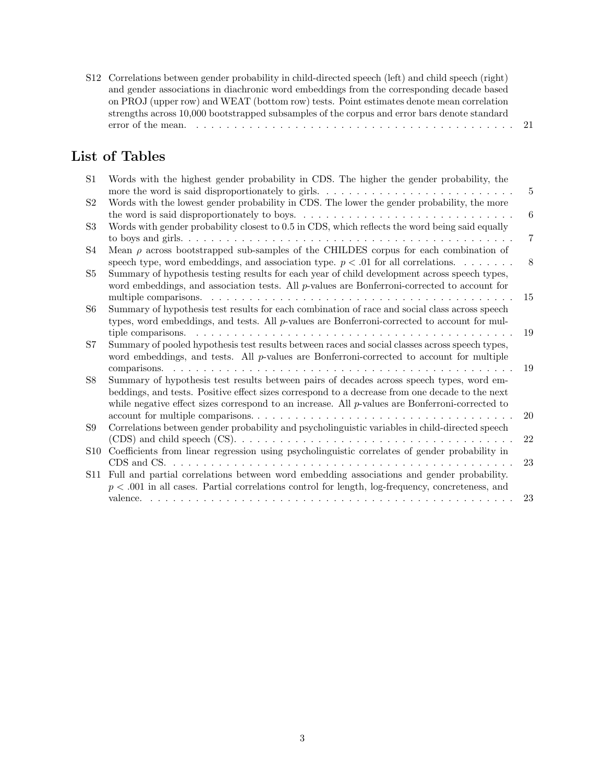| S12 Correlations between gender probability in child-directed speech (left) and child speech (right) |  |
|------------------------------------------------------------------------------------------------------|--|
| and gender associations in diachronic word embeddings from the corresponding decade based            |  |
| on PROJ (upper row) and WEAT (bottom row) tests. Point estimates denote mean correlation             |  |
| strengths across 10,000 bootstrapped subsamples of the corpus and error bars denote standard         |  |
|                                                                                                      |  |

# List of Tables

| S1              | Words with the highest gender probability in CDS. The higher the gender probability, the<br>more the word is said disproportionately to girls | 5  |
|-----------------|-----------------------------------------------------------------------------------------------------------------------------------------------|----|
| S2              | Words with the lowest gender probability in CDS. The lower the gender probability, the more                                                   |    |
|                 |                                                                                                                                               | 6  |
| S3              | Words with gender probability closest to 0.5 in CDS, which reflects the word being said equally                                               |    |
|                 |                                                                                                                                               | 7  |
| S4              | Mean $\rho$ across bootstrapped sub-samples of the CHILDES corpus for each combination of                                                     |    |
|                 | speech type, word embeddings, and association type. $p < .01$ for all correlations.                                                           | 8  |
| S5              | Summary of hypothesis testing results for each year of child development across speech types,                                                 |    |
|                 | word embeddings, and association tests. All $p$ -values are Bonferroni-corrected to account for                                               |    |
|                 |                                                                                                                                               | 15 |
| S6              | Summary of hypothesis test results for each combination of race and social class across speech                                                |    |
|                 | types, word embeddings, and tests. All p-values are Bonferroni-corrected to account for mul-                                                  |    |
|                 | tiple comparisons.                                                                                                                            | 19 |
| S7              | Summary of pooled hypothesis test results between races and social classes across speech types,                                               |    |
|                 | word embeddings, and tests. All p-values are Bonferroni-corrected to account for multiple                                                     |    |
|                 |                                                                                                                                               | 19 |
| S8              | Summary of hypothesis test results between pairs of decades across speech types, word em-                                                     |    |
|                 | beddings, and tests. Positive effect sizes correspond to a decrease from one decade to the next                                               |    |
|                 | while negative effect sizes correspond to an increase. All $p$ -values are Bonferroni-corrected to                                            |    |
|                 |                                                                                                                                               | 20 |
| S9              | Correlations between gender probability and psycholinguistic variables in child-directed speech                                               |    |
|                 |                                                                                                                                               | 22 |
| S <sub>10</sub> | Coefficients from linear regression using psycholinguistic correlates of gender probability in                                                |    |
|                 |                                                                                                                                               | 23 |
| S11             | Full and partial correlations between word embedding associations and gender probability.                                                     |    |
|                 | $p < .001$ in all cases. Partial correlations control for length, log-frequency, concreteness, and                                            |    |
|                 |                                                                                                                                               | 23 |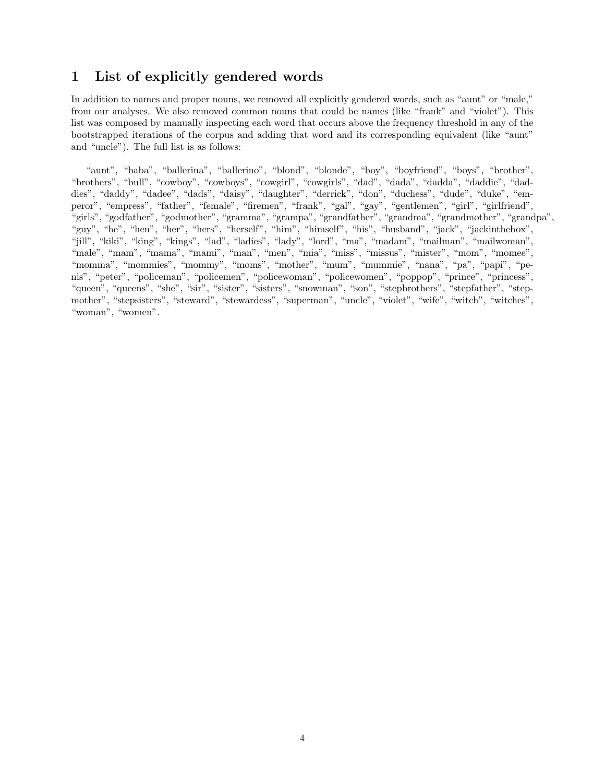### 1 List of explicitly gendered words

In addition to names and proper nouns, we removed all explicitly gendered words, such as "aunt" or "male," from our analyses. We also removed common nouns that could be names (like "frank" and "violet"). This list was composed by manually inspecting each word that occurs above the frequency threshold in any of the bootstrapped iterations of the corpus and adding that word and its corresponding equivalent (like "aunt" and "uncle"). The full list is as follows:

"aunt", "baba", "ballerina", "ballerino", "blond", "blonde", "boy", "boyfriend", "boys", "brother", "brothers", "bull", "cowboy", "cowboys", "cowgirl", "cowgirls", "dad", "dada", "dadda", "daddie", "daddies", "daddy", "dadee", "dads", "daisy", "daughter", "derrick", "don", "duchess", "dude", "duke", "emperor", "empress", "father", "female", "firemen", "frank", "gal", "gay", "gentlemen", "girl", "girlfriend", "girls", "godfather", "godmother", "gramma", "grampa", "grandfather", "grandma", "grandmother", "grandpa", "guy", "he", "hen", "her", "hers", "herself", "him", "himself", "his", "husband", "jack", "jackinthebox", "jill", "kiki", "king", "kings", "lad", "ladies", "lady", "lord", "ma", "madam", "mailman", "mailwoman", "male", "mam", "mama", "mami", "man", "men", "mia", "miss", "missus", "mister", "mom", "momee", "momma", "mommies", "mommy", "moms", "mother", "mum", "mummie", "nana", "pa", "papi", "penis", "peter", "policeman", "policemen", "policewoman", "policewomen", "poppop", "prince", "princess", "queen", "queens", "she", "sir", "sister", "sisters", "snowman", "son", "stepbrothers", "stepfather", "stepmother", "stepsisters", "steward", "stewardess", "superman", "uncle", "violet", "wife", "witch", "witches", "woman", "women".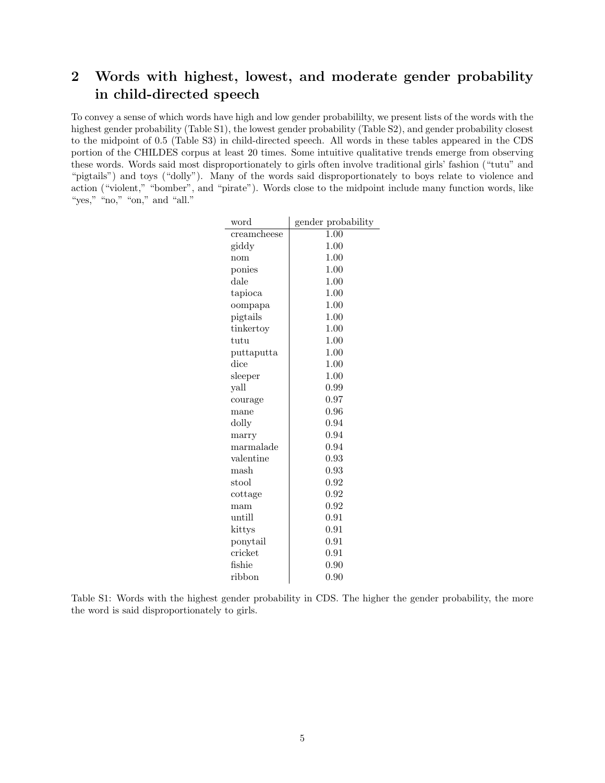# 2 Words with highest, lowest, and moderate gender probability in child-directed speech

To convey a sense of which words have high and low gender probabililty, we present lists of the words with the highest gender probability (Table S1), the lowest gender probability (Table S2), and gender probability closest to the midpoint of 0.5 (Table S3) in child-directed speech. All words in these tables appeared in the CDS portion of the CHILDES corpus at least 20 times. Some intuitive qualitative trends emerge from observing these words. Words said most disproportionately to girls often involve traditional girls' fashion ("tutu" and "pigtails") and toys ("dolly"). Many of the words said disproportionately to boys relate to violence and action ("violent," "bomber", and "pirate"). Words close to the midpoint include many function words, like "yes," "no," "on," and "all."

| word               | gender probability |
|--------------------|--------------------|
| creamcheese        | 1.00               |
| giddy              | 1.00               |
| nom                | 1.00               |
| ponies             | 1.00               |
| $_{\rm{dale}}$     | 1.00               |
| tapioca            | 1.00               |
| oompapa            | 1.00               |
| pigtails           | 1.00               |
| tinkertoy          | 1.00               |
| tutu               | 1.00               |
| puttaputta         | 1.00               |
| $_{\mathrm{dice}}$ | 1.00               |
| sleeper            | 1.00               |
| yall               | 0.99               |
| courage            | 0.97               |
| mane               | 0.96               |
| dolly              | 0.94               |
| marry              | 0.94               |
| marmalade          | 0.94               |
| valentine          | 0.93               |
| mash               | 0.93               |
| stool              | 0.92               |
| cottage            | $\rm 0.92$         |
| mam                | 0.92               |
| untill             | 0.91               |
| kittys             | 0.91               |
| ponytail           | 0.91               |
| cricket            | 0.91               |
| fishie             | $\rm 0.90$         |
| ribbon             | 0.90               |

Table S1: Words with the highest gender probability in CDS. The higher the gender probability, the more the word is said disproportionately to girls.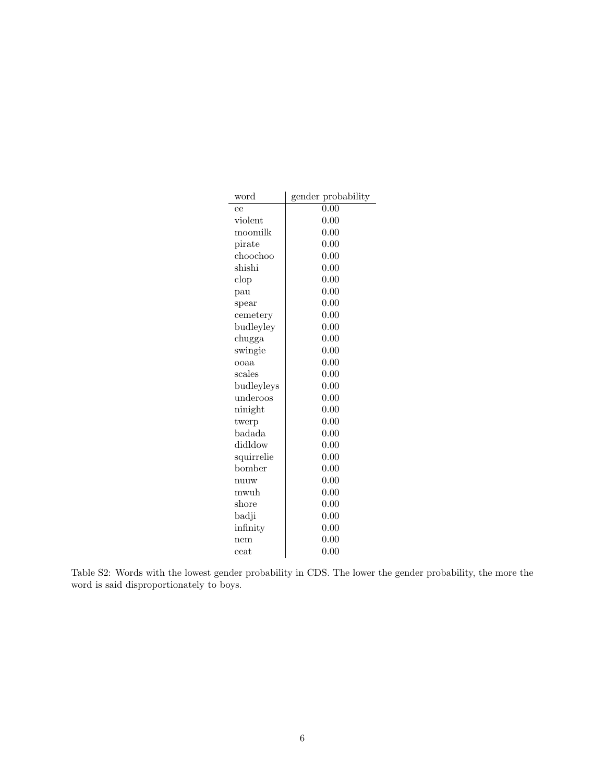| word           | gender probability |
|----------------|--------------------|
| ee             | 0.00               |
| violet         | 0.00               |
| moomilk        | 0.00               |
| pirate         | 0.00               |
| choochoo       | 0.00               |
| shishi         | 0.00               |
| $\text{clop}$  | 0.00               |
| pau            | 0.00               |
| spear          | 0.00               |
| cemetery       | 0.00               |
| budleyley      | 0.00               |
| chugga         | 0.00               |
| swingie        | 0.00               |
| ooaa           | 0.00               |
| scales         | 0.00               |
| budleyleys     | 0.00               |
| underoos       | 0.00               |
| ninight        | 0.00               |
| twerp          | 0.00               |
| badada         | 0.00               |
| didldow        | 0.00               |
| squirrelie     | 0.00               |
| bomber         | 0.00               |
| nuuw           | 0.00               |
| mwuh           | 0.00               |
| $_{\rm shore}$ | 0.00               |
| badji          | 0.00               |
| infinity       | 0.00               |
| nem            | 0.00               |
| eeat           | 0.00               |

Table S2: Words with the lowest gender probability in CDS. The lower the gender probability, the more the word is said disproportionately to boys.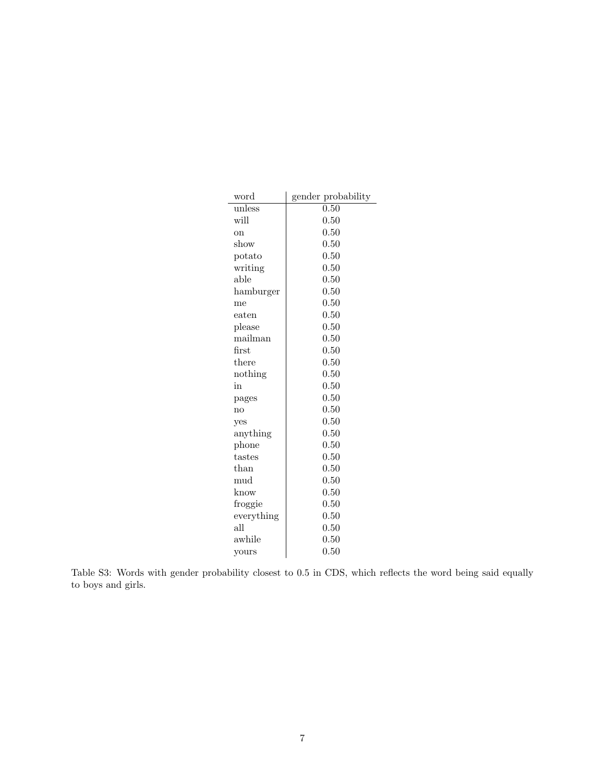| word            | gender probability |
|-----------------|--------------------|
| unless          | $\overline{0.50}$  |
| will            | 0.50               |
| on              | 0.50               |
| $_{\rm show}$   | 0.50               |
| potato          | 0.50               |
| writing         | 0.50               |
| able            | 0.50               |
| hamburger       | 0.50               |
| me              | 0.50               |
| $_{\rm{eaten}}$ | 0.50               |
| please          | 0.50               |
| mailman         | 0.50               |
| first           | 0.50               |
| there           | 0.50               |
| nothing         | 0.50               |
| in              | 0.50               |
| pages           | 0.50               |
| no              | $0.50\,$           |
| yes             | 0.50               |
| anything        | 0.50               |
| phone           | 0.50               |
| tastes          | 0.50               |
| than            | $\rm 0.50$         |
| mud             | 0.50               |
| know            | $0.50\,$           |
| froggie         | 0.50               |
| everything      | 0.50               |
| all             | $\rm 0.50$         |
| awhile          | 0.50               |
| yours           | $\rm 0.50$         |

Table S3: Words with gender probability closest to 0.5 in CDS, which reflects the word being said equally to boys and girls.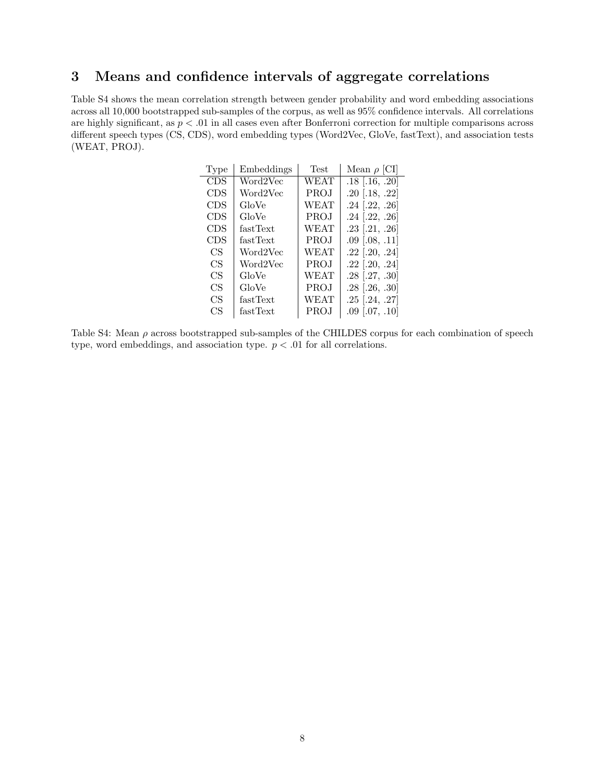## 3 Means and confidence intervals of aggregate correlations

Table S4 shows the mean correlation strength between gender probability and word embedding associations across all 10,000 bootstrapped sub-samples of the corpus, as well as 95% confidence intervals. All correlations are highly significant, as  $p < 0.01$  in all cases even after Bonferroni correction for multiple comparisons across different speech types (CS, CDS), word embedding types (Word2Vec, GloVe, fastText), and association tests (WEAT, PROJ).

| Type       | Embeddings | Test        | Mean $\rho$ [CI]   |
|------------|------------|-------------|--------------------|
| <b>CDS</b> | Word2Vec   | WEAT        | $.18$ [.16, .20]   |
| <b>CDS</b> | Word2Vec   | PROJ        | $.20$ [.18, .22]   |
| <b>CDS</b> | GloVe      | WEAT        | $.24$ [.22, .26]   |
| <b>CDS</b> | GloVe      | PROJ        | $.24$ [.22, .26]   |
| <b>CDS</b> | fastText   | WEAT        | $.23$ [.21, .26]   |
| <b>CDS</b> | fastText   | <b>PROJ</b> | $.09$ $[.08, .11]$ |
| CS         | Word2Vec   | WEAT        | $.22$ [.20, .24]   |
| CS         | Word2Vec   | PROJ        | $.22$ [.20, .24]   |
| CS         | GloVe      | WEAT        | $.28$ [.27, .30]   |
| CS         | GloVe      | <b>PROJ</b> | $.28$ [.26, .30]   |
| CS         | fastText   | WEAT        | $.25$ [.24, .27]   |
| CS         | fastText   | PROJ        | $.09$ [.07, .10]   |

Table S4: Mean  $\rho$  across bootstrapped sub-samples of the CHILDES corpus for each combination of speech type, word embeddings, and association type.  $p < .01$  for all correlations.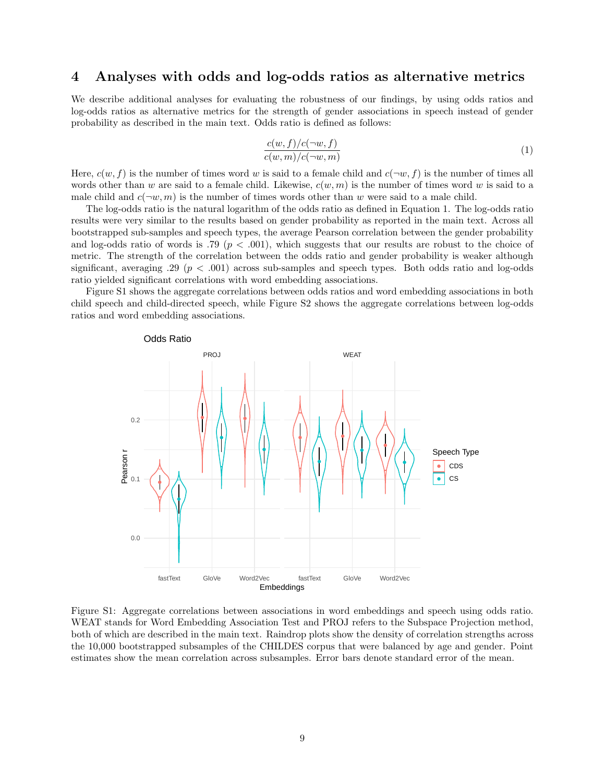#### 4 Analyses with odds and log-odds ratios as alternative metrics

We describe additional analyses for evaluating the robustness of our findings, by using odds ratios and log-odds ratios as alternative metrics for the strength of gender associations in speech instead of gender probability as described in the main text. Odds ratio is defined as follows:

$$
\frac{c(w,f)/c(\neg w,f)}{c(w,m)/c(\neg w,m)}\tag{1}
$$

Here,  $c(w, f)$  is the number of times word w is said to a female child and  $c(\neg w, f)$  is the number of times all words other than w are said to a female child. Likewise,  $c(w, m)$  is the number of times word w is said to a male child and  $c(\neg w, m)$  is the number of times words other than w were said to a male child.

The log-odds ratio is the natural logarithm of the odds ratio as defined in Equation 1. The log-odds ratio results were very similar to the results based on gender probability as reported in the main text. Across all bootstrapped sub-samples and speech types, the average Pearson correlation between the gender probability and log-odds ratio of words is .79 ( $p < .001$ ), which suggests that our results are robust to the choice of metric. The strength of the correlation between the odds ratio and gender probability is weaker although significant, averaging .29 ( $p < .001$ ) across sub-samples and speech types. Both odds ratio and log-odds ratio yielded significant correlations with word embedding associations.

Figure S1 shows the aggregate correlations between odds ratios and word embedding associations in both child speech and child-directed speech, while Figure S2 shows the aggregate correlations between log-odds ratios and word embedding associations.



Figure S1: Aggregate correlations between associations in word embeddings and speech using odds ratio. WEAT stands for Word Embedding Association Test and PROJ refers to the Subspace Projection method, both of which are described in the main text. Raindrop plots show the density of correlation strengths across the 10,000 bootstrapped subsamples of the CHILDES corpus that were balanced by age and gender. Point estimates show the mean correlation across subsamples. Error bars denote standard error of the mean.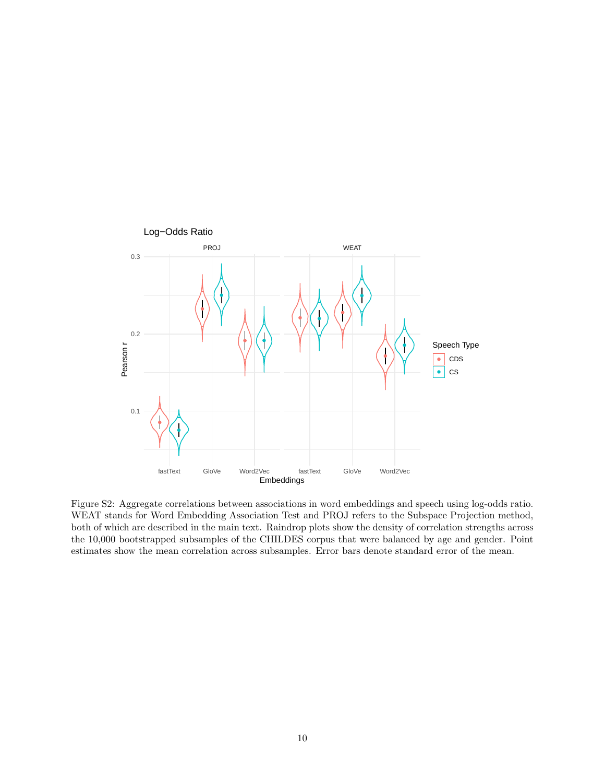

Figure S2: Aggregate correlations between associations in word embeddings and speech using log-odds ratio. WEAT stands for Word Embedding Association Test and PROJ refers to the Subspace Projection method, both of which are described in the main text. Raindrop plots show the density of correlation strengths across the 10,000 bootstrapped subsamples of the CHILDES corpus that were balanced by age and gender. Point estimates show the mean correlation across subsamples. Error bars denote standard error of the mean.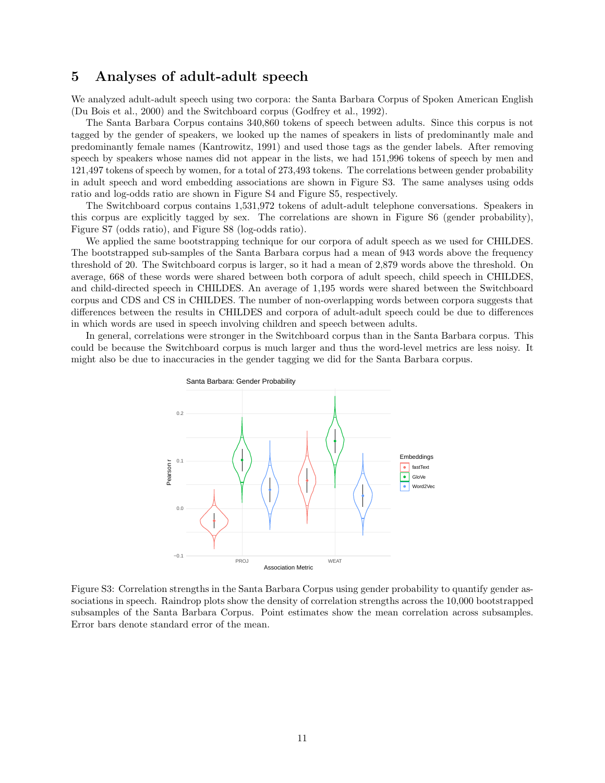#### 5 Analyses of adult-adult speech

We analyzed adult-adult speech using two corpora: the Santa Barbara Corpus of Spoken American English (Du Bois et al., 2000) and the Switchboard corpus (Godfrey et al., 1992).

The Santa Barbara Corpus contains 340,860 tokens of speech between adults. Since this corpus is not tagged by the gender of speakers, we looked up the names of speakers in lists of predominantly male and predominantly female names (Kantrowitz, 1991) and used those tags as the gender labels. After removing speech by speakers whose names did not appear in the lists, we had 151,996 tokens of speech by men and 121,497 tokens of speech by women, for a total of 273,493 tokens. The correlations between gender probability in adult speech and word embedding associations are shown in Figure S3. The same analyses using odds ratio and log-odds ratio are shown in Figure S4 and Figure S5, respectively.

The Switchboard corpus contains 1,531,972 tokens of adult-adult telephone conversations. Speakers in this corpus are explicitly tagged by sex. The correlations are shown in Figure S6 (gender probability), Figure S7 (odds ratio), and Figure S8 (log-odds ratio).

We applied the same bootstrapping technique for our corpora of adult speech as we used for CHILDES. The bootstrapped sub-samples of the Santa Barbara corpus had a mean of 943 words above the frequency threshold of 20. The Switchboard corpus is larger, so it had a mean of 2,879 words above the threshold. On average, 668 of these words were shared between both corpora of adult speech, child speech in CHILDES, and child-directed speech in CHILDES. An average of 1,195 words were shared between the Switchboard corpus and CDS and CS in CHILDES. The number of non-overlapping words between corpora suggests that differences between the results in CHILDES and corpora of adult-adult speech could be due to differences in which words are used in speech involving children and speech between adults.

In general, correlations were stronger in the Switchboard corpus than in the Santa Barbara corpus. This could be because the Switchboard corpus is much larger and thus the word-level metrics are less noisy. It might also be due to inaccuracies in the gender tagging we did for the Santa Barbara corpus.



Figure S3: Correlation strengths in the Santa Barbara Corpus using gender probability to quantify gender associations in speech. Raindrop plots show the density of correlation strengths across the 10,000 bootstrapped subsamples of the Santa Barbara Corpus. Point estimates show the mean correlation across subsamples. Error bars denote standard error of the mean.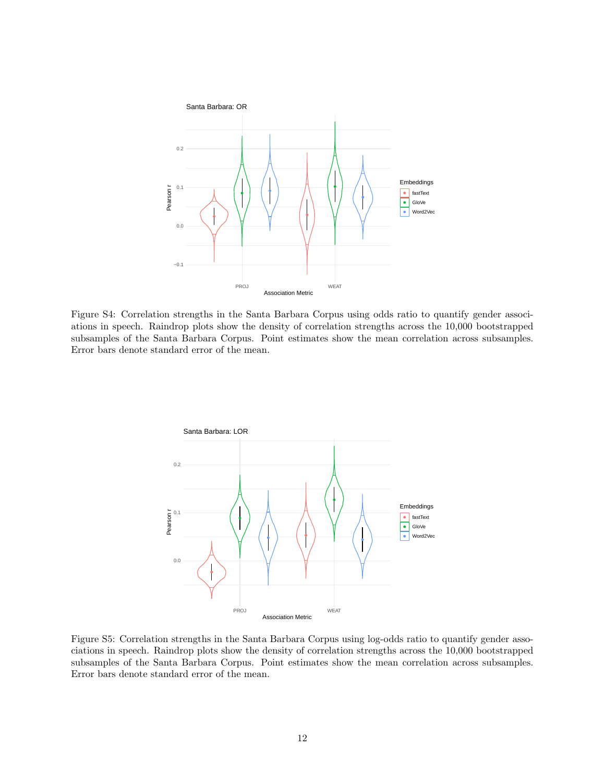

Figure S4: Correlation strengths in the Santa Barbara Corpus using odds ratio to quantify gender associations in speech. Raindrop plots show the density of correlation strengths across the 10,000 bootstrapped subsamples of the Santa Barbara Corpus. Point estimates show the mean correlation across subsamples. Error bars denote standard error of the mean.



Figure S5: Correlation strengths in the Santa Barbara Corpus using log-odds ratio to quantify gender associations in speech. Raindrop plots show the density of correlation strengths across the 10,000 bootstrapped subsamples of the Santa Barbara Corpus. Point estimates show the mean correlation across subsamples. Error bars denote standard error of the mean.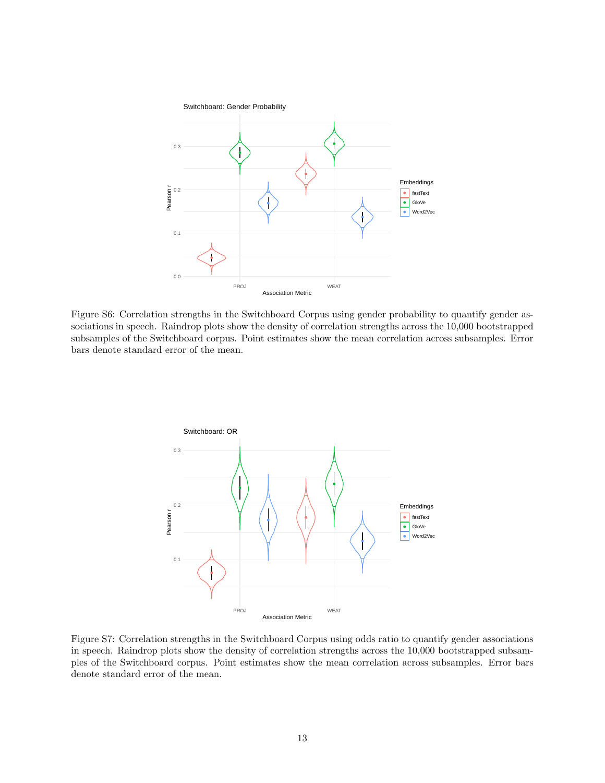

Figure S6: Correlation strengths in the Switchboard Corpus using gender probability to quantify gender associations in speech. Raindrop plots show the density of correlation strengths across the 10,000 bootstrapped subsamples of the Switchboard corpus. Point estimates show the mean correlation across subsamples. Error bars denote standard error of the mean.



Figure S7: Correlation strengths in the Switchboard Corpus using odds ratio to quantify gender associations in speech. Raindrop plots show the density of correlation strengths across the 10,000 bootstrapped subsamples of the Switchboard corpus. Point estimates show the mean correlation across subsamples. Error bars denote standard error of the mean.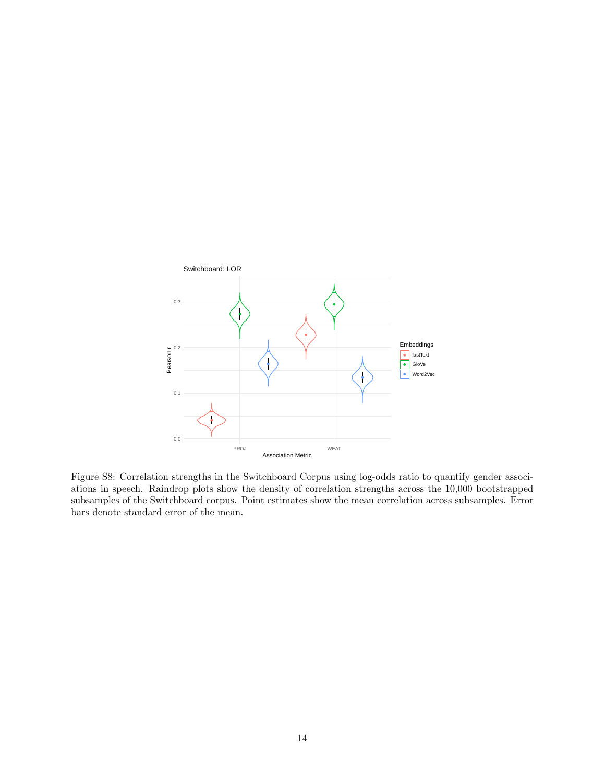

Figure S8: Correlation strengths in the Switchboard Corpus using log-odds ratio to quantify gender associations in speech. Raindrop plots show the density of correlation strengths across the 10,000 bootstrapped subsamples of the Switchboard corpus. Point estimates show the mean correlation across subsamples. Error bars denote standard error of the mean.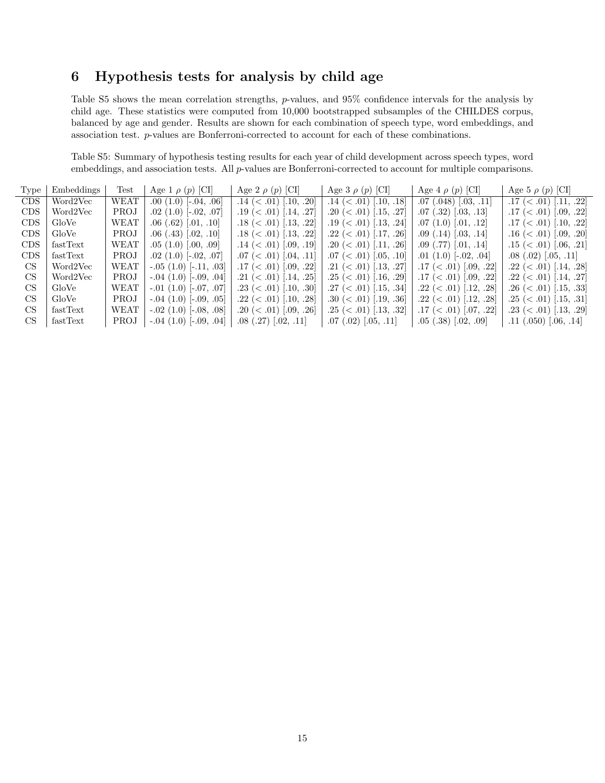## 6 Hypothesis tests for analysis by child age

Table S5 shows the mean correlation strengths, p-values, and 95% confidence intervals for the analysis by child age. These statistics were computed from 10,000 bootstrapped subsamples of the CHILDES corpus, balanced by age and gender. Results are shown for each combination of speech type, word embeddings, and association test. p-values are Bonferroni-corrected to account for each of these combinations.

Table S5: Summary of hypothesis testing results for each year of child development across speech types, word embeddings, and association tests. All p-values are Bonferroni-corrected to account for multiple comparisons.

| Type       | Embeddings | Test        | Age 1 $\rho$ (p) [CI]       | Age 2 $\rho$ (p) [CI]        | Age 3 $\rho$ (p) [CI]        | Age 4 $\rho$ (p) [CI]        | Age 5 $\rho$ (p) [CI]          |
|------------|------------|-------------|-----------------------------|------------------------------|------------------------------|------------------------------|--------------------------------|
| <b>CDS</b> | Word2Vec   | WEAT        | $.00(1.0)$ [ $-.04, .06$ ]  | $.14 \ (-.01) \ [-10, .20]$  | .14 $(< .01)$ [.10, .18]     | $.07$ $(.048)$ $[.03, .11]$  | .17 $(< .01)$ [.11, .22]       |
| <b>CDS</b> | Word2Vec   | <b>PROJ</b> | $.02$ $(1.0)$ $[-.02, .07]$ | .19 $(<.01)$ [.14, .27]      | $.20 \leq .01$ [.15, .27]    | $.07$ $(.32)$ $[.03, .13]$   | $.17 \; (< .01) \; [.09, .22]$ |
| <b>CDS</b> | GloVe      | WEAT        | $.06(.62)$ $[.01, .10]$     | $.18 \ (< .01)$ [.13, .22]   | .19 ( $<$ .01) [.13, .24]    | .07(1.0)[.01, .12]           | .17 ( $<$ .01) [.10, .22]      |
| <b>CDS</b> | GloVe      | PROJ        | $.06(.43)$ $[.02, .10]$     | $.18 \ (< .01)$ [.13, .22]   | .22~(<.01)~[.17, .26]        | $.09$ $(.14)$ $[.03, .14]$   | $.16 \; (< .01) \; [.09, .20]$ |
| <b>CDS</b> | fastText   | WEAT        | .05(1.0)[.00, .09]          | $.14 \ (< .01)$ $.09, .19$   | $.20 \ (< .01)$ [.11, .26]   | $.09$ (.77) [.01, .14]       | $.15 \; (< .01) \; [.06, .21]$ |
| <b>CDS</b> | fastText   | <b>PROJ</b> | $.02$ $(1.0)$ $[-.02, .07]$ | $.07 \ (< .01) \  .04, .11 $ | $.07 \ (< .01) \ [.05, .10]$ | $.01(1.0)$ $-.02, .04$       | $.08(.02)$ $[.05, .11]$        |
| CS.        | Word2Vec   | WEAT        | $-.05(1.0)$ $[-.11, .03]$   | $.17 \ (< .01) \  .09, .22 $ | .21 ( $< .01$ ) [.13, .27]   | $.17 \ (< .01)$ [.09, .22]   | .22~(<.01)~[.14, .28]          |
| CS.        | Word2Vec   | PROJ        | $-.04$ (1.0) $[-.09, .04]$  | .21 $(< .01)$  .14, .25      | $.25 \leq 0.01$ [.16, .29]   | $.17 \ (< .01) \  .09, .22 $ | .22~(<.01)~[.14, .27]          |
| CS.        | GloVe      | WEAT        | $-.01$ (1.0) $-.07, .07$    | .23 ( $\lt$ .01) [.10, .30]  | $.27 \ (< .01)$   $.15, .34$ | .22~(<.01)~ .12, .28         | .26 ( $\lt$ .01) [.15, .33]    |
| CS.        | GloVe      | <b>PROJ</b> | $-.04$ (1.0) $[-.09, .05]$  | .22~(<.01)~[.10, .28]        | $.30 \ (< .01)$ [.19, .36]   | .22~(<.01)~[.12, .28]        | $.25 \leq 0.01$ [.15, .31]     |
| CS.        | fastText   | <b>WEAT</b> | $-.02$ (1.0) $[-.08, .08]$  | $.20 \leq .01$   $.09, .26$  | $.25 \leq 0.01$ [.13, .32]   | $.17 \ (< .01)$ [.07, .22]   | $.23 \ (< .01)$ [.13, .29]     |
| CS.        | fastText   | PROJ        | $-.04$ (1.0) $[-.09, .04]$  | $.08(.27)$ $.02, .11$        | $.07$ (.02) $ .05, .11 $     | $.05(.38)$ $.02, .09$        | $.11(.050)$ $.06, .14$         |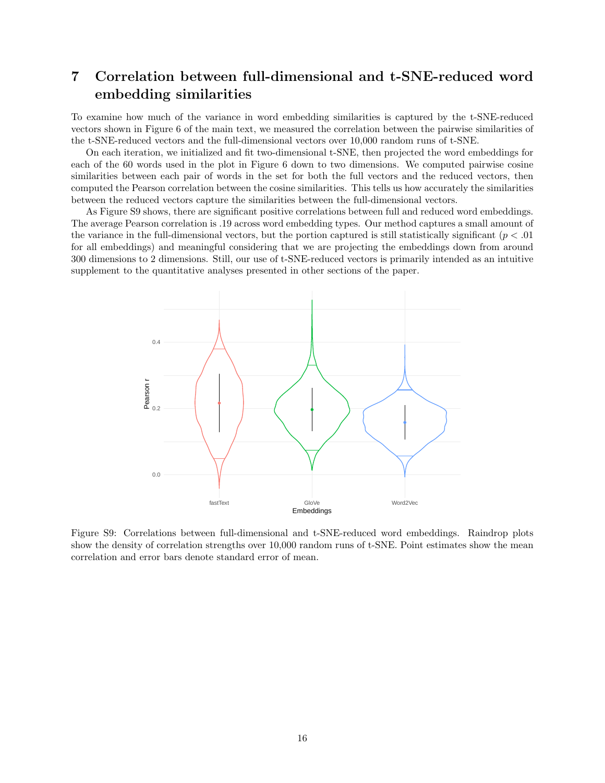## 7 Correlation between full-dimensional and t-SNE-reduced word embedding similarities

To examine how much of the variance in word embedding similarities is captured by the t-SNE-reduced vectors shown in Figure 6 of the main text, we measured the correlation between the pairwise similarities of the t-SNE-reduced vectors and the full-dimensional vectors over 10,000 random runs of t-SNE.

On each iteration, we initialized and fit two-dimensional t-SNE, then projected the word embeddings for each of the 60 words used in the plot in Figure 6 down to two dimensions. We computed pairwise cosine similarities between each pair of words in the set for both the full vectors and the reduced vectors, then computed the Pearson correlation between the cosine similarities. This tells us how accurately the similarities between the reduced vectors capture the similarities between the full-dimensional vectors.

As Figure S9 shows, there are significant positive correlations between full and reduced word embeddings. The average Pearson correlation is .19 across word embedding types. Our method captures a small amount of the variance in the full-dimensional vectors, but the portion captured is still statistically significant  $(p < .01)$ for all embeddings) and meaningful considering that we are projecting the embeddings down from around 300 dimensions to 2 dimensions. Still, our use of t-SNE-reduced vectors is primarily intended as an intuitive supplement to the quantitative analyses presented in other sections of the paper.



Figure S9: Correlations between full-dimensional and t-SNE-reduced word embeddings. Raindrop plots show the density of correlation strengths over 10,000 random runs of t-SNE. Point estimates show the mean correlation and error bars denote standard error of mean.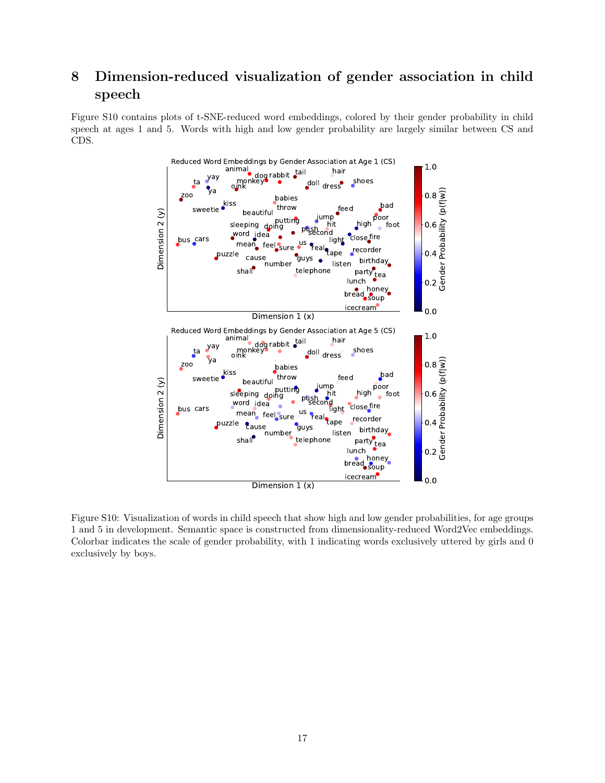# 8 Dimension-reduced visualization of gender association in child speech

Figure S10 contains plots of t-SNE-reduced word embeddings, colored by their gender probability in child speech at ages 1 and 5. Words with high and low gender probability are largely similar between CS and CDS.



Figure S10: Visualization of words in child speech that show high and low gender probabilities, for age groups 1 and 5 in development. Semantic space is constructed from dimensionality-reduced Word2Vec embeddings. Colorbar indicates the scale of gender probability, with 1 indicating words exclusively uttered by girls and 0 exclusively by boys.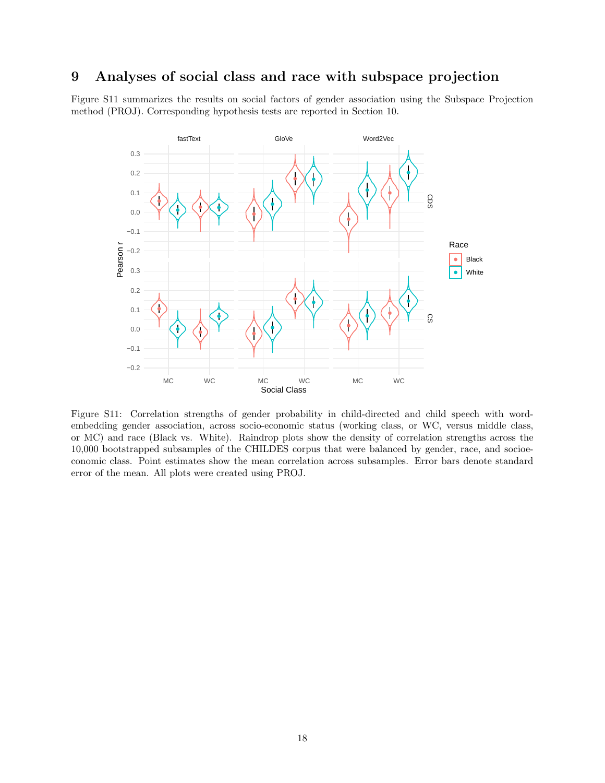#### 9 Analyses of social class and race with subspace projection

Figure S11 summarizes the results on social factors of gender association using the Subspace Projection method (PROJ). Corresponding hypothesis tests are reported in Section 10.



Figure S11: Correlation strengths of gender probability in child-directed and child speech with wordembedding gender association, across socio-economic status (working class, or WC, versus middle class, or MC) and race (Black vs. White). Raindrop plots show the density of correlation strengths across the 10,000 bootstrapped subsamples of the CHILDES corpus that were balanced by gender, race, and socioeconomic class. Point estimates show the mean correlation across subsamples. Error bars denote standard error of the mean. All plots were created using PROJ.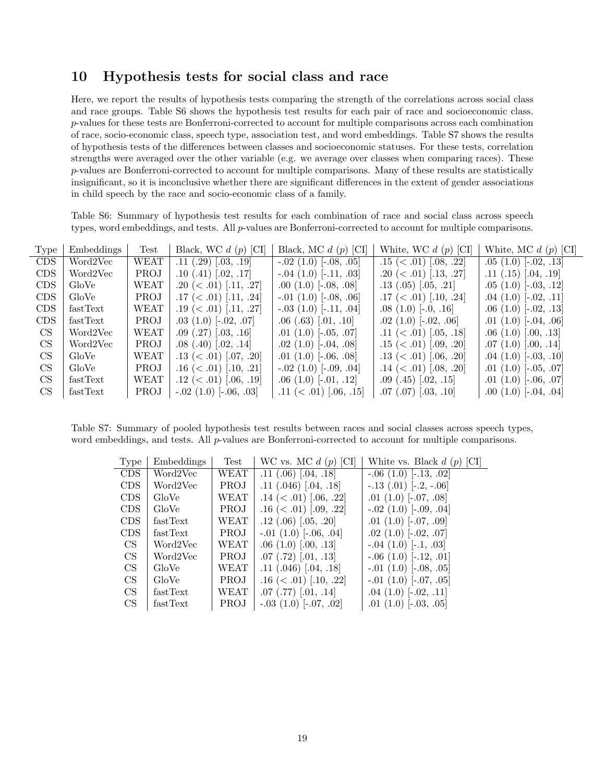## 10 Hypothesis tests for social class and race

L,

Here, we report the results of hypothesis tests comparing the strength of the correlations across social class and race groups. Table S6 shows the hypothesis test results for each pair of race and socioeconomic class. p-values for these tests are Bonferroni-corrected to account for multiple comparisons across each combination of race, socio-economic class, speech type, association test, and word embeddings. Table S7 shows the results of hypothesis tests of the differences between classes and socioeconomic statuses. For these tests, correlation strengths were averaged over the other variable (e.g. we average over classes when comparing races). These p-values are Bonferroni-corrected to account for multiple comparisons. Many of these results are statistically insignificant, so it is inconclusive whether there are significant differences in the extent of gender associations in child speech by the race and socio-economic class of a family.

Table S6: Summary of hypothesis test results for each combination of race and social class across speech types, word embeddings, and tests. All p-values are Bonferroni-corrected to account for multiple comparisons.

| Type '          | Embeddings | Test        | Black, WC $d(p)$ [CI]       | Black, MC $d(p)$ [CI]        | White, WC $d(p)$ [CI]          | White, MC $d(p)$ [CI]      |
|-----------------|------------|-------------|-----------------------------|------------------------------|--------------------------------|----------------------------|
| CDS.            | Word2Vec   | WEAT        | $.11(.29)$ $[.03, .19]$     | $-.02(1.0)$ [ $-.08, .05$ ]  | $.15 \; (< .01) \; [.08, .22]$ | $.05(1.0)$ [-.02, .13]     |
| CDS             | Word2Vec   | <b>PROJ</b> | $.10(.41)$ $[.02, .17]$     | $-.04$ (1.0) [ $-.11, .03$ ] | .20 ( $\lt$ .01) [.13, .27]    | $.11(.15)$ [.04, .19]      |
| CDS             | GloVe      | <b>WEAT</b> | .20 $(<.01)$ [.11, .27]     | $.00(1.0)$ [ $-.08, .08$ ]   | $.13$ $(.05)$ $[.05, .21]$     | $.05(1.0)$ $[-.03, .12]$   |
| <b>CDS</b>      | GloVe      | PROJ        | .17 $(< .01)$ [.11, .24]    | $-.01(1.0)$ $[-.08, .06]$    | .17 ( $< .01$ ) [.10, .24]     | $.04(1.0)$ [ $-.02, .11$ ] |
| <b>CDS</b>      | fastText   | WEAT        | .19 $(<.01)$ [.11, .27]     | $-.03(1.0)$ [ $-.11, .04$ ]  | $.08(1.0)$ [-.0, .16]          | $.06(1.0)$ [ $-.02, .13$ ] |
| <b>CDS</b>      | fastText   | <b>PROJ</b> | $.03(1.0)$ [ $-.02, .07$ ]  | $.06(.63)$ $[.01, .10]$      | $.02(1.0)$ [ $-.02, .06$ ]     | $.01(1.0)$ [ $-.04, .06$ ] |
| CS <sup>-</sup> | Word2Vec   | WEAT        | $.09$ $(.27)$ $[.03, .16]$  | $.01(1.0)$ $[-.05, .07]$     | .11 $(< .01)$ [.05, .18]       | .06(1.0)[.00, .13]         |
| CS.             | Word2Vec   | <b>PROJ</b> | $.08(.40)$ $[.02, .14]$     | $.02(1.0)$ [ $-.04, .08$ ]   | .15 ( $\lt$ .01) [.09, .20]    | .07(1.0)[.00, .14]         |
| CS              | GloVe      | WEAT        | $.13 \ (< .01)$ $.07, .20$  | $.01(1.0)$ $[-.06, .08]$     | .13 ( $\lt$ .01) [.06, .20]    | $.04(1.0)$ [ $-.03, .10$ ] |
| <b>CS</b>       | GloVe      | PROJ        | .16 $(< .01)$ [.10, .21]    | $-.02$ (1.0) $[-.09, .04]$   | .14 $(< .01)$ [.08, .20]       | $.01(1.0)$ $[-.05, .07]$   |
| <b>CS</b>       | fastText   | WEAT        | .12 ( $\lt$ .01) [.06, .19] | $.06(1.0)$ $[-.01, .12]$     | $.09$ $(.45)$ $[.02, .15]$     | $.01(1.0)$ [ $-.06, .07$ ] |
| CS              | fastText   | PROJ        | $-.02$ (1.0) $[-.06, .03]$  | .11 $(< .01)$ [.06, .15]     | $.07$ $(.07)$ $[.03, .10]$     | $.00(1.0)$ [-.04, .04]     |

Table S7: Summary of pooled hypothesis test results between races and social classes across speech types, word embeddings, and tests. All *p*-values are Bonferroni-corrected to account for multiple comparisons.

| Type       | Embeddings | Test        | WC vs. MC $d(p)$ [CI]       | White vs. Black $d(p)$ [CI]  |
|------------|------------|-------------|-----------------------------|------------------------------|
| <b>CDS</b> | Word2Vec   | WEAT        | $.11$ $(.06)$ $[.04, .18]$  | $-.06(1.0)$ [ $-.13, .02$ ]  |
| <b>CDS</b> | Word2Vec   | <b>PROJ</b> | $.11$ (.046) [.04, .18]     | $-.13$ $(.01)$ $[-.2, -.06]$ |
| <b>CDS</b> | GloVe      | WEAT        | .14 $(< .01)$ [.06, .22]    | $.01(1.0)$ [ $-.07, .08$ ]   |
| <b>CDS</b> | GloVe      | <b>PROJ</b> | .16 ( $\lt$ .01) [.09, .22] | $-.02$ (1.0) $[-.09, .04]$   |
| <b>CDS</b> | fastText   | WEAT        | $.12$ (.06) [.05, .20]      | $.01(1.0)$ [ $-.07, .09$ ]   |
| <b>CDS</b> | fastText   | PROJ        | $-.01(1.0)$ $[-.06, .04]$   | $.02(1.0)$ [ $-.02, .07$ ]   |
| CS         | Word2Vec   | WEAT        | .06(1.0)[.00, .13]          | $-.04(1.0)$ [ $-.1, .03$ ]   |
| <b>CS</b>  | Word2Vec   | <b>PROJ</b> | $.07$ (.72) [.01, .13]      | $-.06(1.0)$ [ $-.12, .01$ ]  |
| <b>CS</b>  | GloVe      | WEAT        | $.11$ $(.046)$ $[.04, .18]$ | $-.01$ (1.0) $[-.08, .05]$   |
| CS         | GloVe      | PROJ        | .16 $(< .01)$ [.10, .22]    | $-.01(1.0)$ $[-.07, .05]$    |
| CS         | fastText   | WEAT        | $.07$ $(.77)$ $[.01, .14]$  | $.04(1.0)$ [ $-.02, .11$ ]   |
| CS         | fastText   | <b>PROJ</b> | $-.03(1.0)$ $[-.07, .02]$   | .01 $(1.0)$ [ $-.03, .05$ ]  |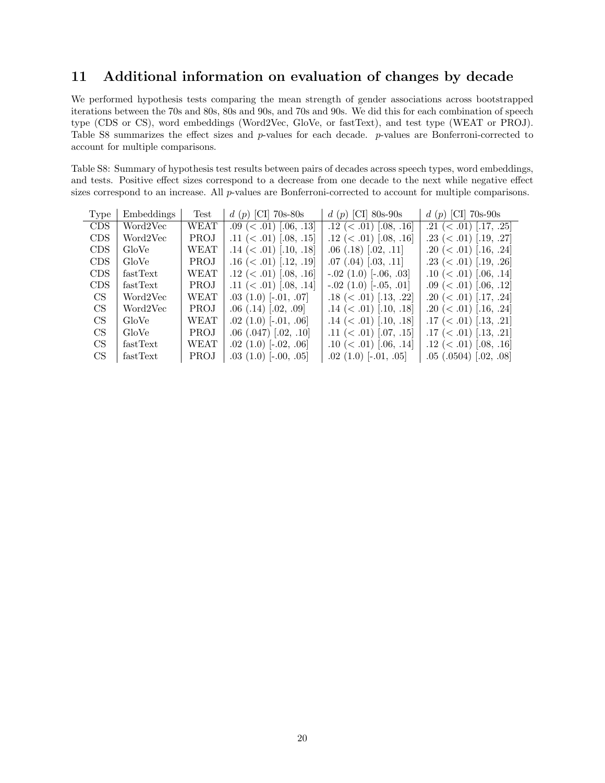## 11 Additional information on evaluation of changes by decade

We performed hypothesis tests comparing the mean strength of gender associations across bootstrapped iterations between the 70s and 80s, 80s and 90s, and 70s and 90s. We did this for each combination of speech type (CDS or CS), word embeddings (Word2Vec, GloVe, or fastText), and test type (WEAT or PROJ). Table S8 summarizes the effect sizes and p-values for each decade. p-values are Bonferroni-corrected to account for multiple comparisons.

Table S8: Summary of hypothesis test results between pairs of decades across speech types, word embeddings, and tests. Positive effect sizes correspond to a decrease from one decade to the next while negative effect sizes correspond to an increase. All p-values are Bonferroni-corrected to account for multiple comparisons.

| Type       | Embeddings | Test        | d (p) [CI] 70s-80s              | $d(p)$ [CI] 80s-90s         | d (p) [CI] 70s-90s             |
|------------|------------|-------------|---------------------------------|-----------------------------|--------------------------------|
| <b>CDS</b> | Word2Vec   | <b>WEAT</b> | $.09 \ (< .01) \ [.06, .13]$    | .12 ( $\lt$ .01) [.08, .16] | .21 ( $\lt$ .01) [.17, .25]    |
| <b>CDS</b> | Word2Vec   | <b>PROJ</b> | .11 ( $\langle$ .01) [.08, .15] | .12 ( $\lt$ .01) [.08, .16] | .23 ( $\lt$ .01) [.19, .27]    |
| <b>CDS</b> | GloVe      | <b>WEAT</b> | .14 $(< .01)$ [.10, .18]        | $.06$ $(.18)$ $[.02, .11]$  | .20 ( $< .01$ ) [.16, .24]     |
| <b>CDS</b> | GloVe      | <b>PROJ</b> | .16 $(<.01)$ [.12, .19]         | $.07$ $(.04)$ $(.03, .11]$  | .23 ( $\lt$ .01) [.19, .26]    |
| <b>CDS</b> | fastText   | WEAT        | .12 ( $\lt$ .01) [.08, .16]     | $-.02$ (1.0) $[-.06, .03]$  | .10 ( $<$ .01) [.06, .14]      |
| <b>CDS</b> | fastText   | <b>PROJ</b> | .11 ( $\lt$ .01) [.08, .14]     | $-.02$ (1.0) $[-.05, .01]$  | $.09 \ (< .01) \ [.06, .12]$   |
| CS.        | Word2Vec   | <b>WEAT</b> | $.03(1.0)$ [ $-.01, .07$ ]      | .18 $(< .01)$ [.13, .22]    | .20 ( $< .01$ ) [.17, .24]     |
| CS         | Word2Vec   | PROJ        | $.06$ (.14) [.02, .09]          | .14 $(< .01)$ [.10, .18]    | .20 $(<.01)$ [.16, .24]        |
| CS.        | GloVe      | <b>WEAT</b> | $.02(1.0)$ [ $-.01, .06$ ]      | .14 $(< .01)$ [.10, .18]    | $.17 \; (< .01) \; [.13, .21]$ |
| CS         | GloVe      | <b>PROJ</b> | $.06$ $(.047)$ $[.02, .10]$     | .11 $(< .01)$ [.07, .15]    | .17 ( $<$ .01) [.13, .21]      |
| CS.        | fastText   | <b>WEAT</b> | $.02(1.0)$ [ $-.02, .06$ ]      | .10 ( $\lt$ .01) [.06, .14] | .12 ( $\lt$ .01) [.08, .16]    |
| CS         | fastText   | <b>PROJ</b> | $.03(1.0)$ $[-.00, .05]$        | $.02(1.0)$ [ $-.01, .05$ ]  | $.05$ $(.0504)$ $[.02, .08]$   |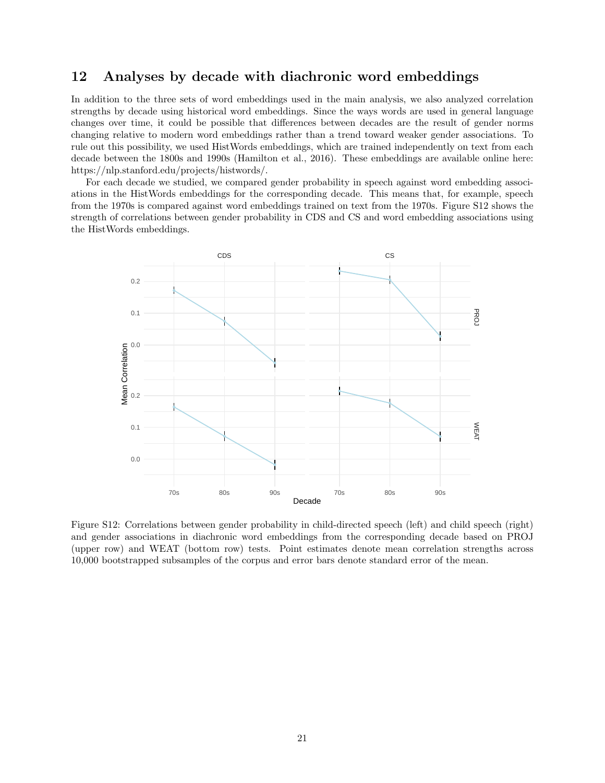#### 12 Analyses by decade with diachronic word embeddings

In addition to the three sets of word embeddings used in the main analysis, we also analyzed correlation strengths by decade using historical word embeddings. Since the ways words are used in general language changes over time, it could be possible that differences between decades are the result of gender norms changing relative to modern word embeddings rather than a trend toward weaker gender associations. To rule out this possibility, we used HistWords embeddings, which are trained independently on text from each decade between the 1800s and 1990s (Hamilton et al., 2016). These embeddings are available online here: https://nlp.stanford.edu/projects/histwords/.

For each decade we studied, we compared gender probability in speech against word embedding associations in the HistWords embeddings for the corresponding decade. This means that, for example, speech from the 1970s is compared against word embeddings trained on text from the 1970s. Figure S12 shows the strength of correlations between gender probability in CDS and CS and word embedding associations using the HistWords embeddings.



Figure S12: Correlations between gender probability in child-directed speech (left) and child speech (right) and gender associations in diachronic word embeddings from the corresponding decade based on PROJ (upper row) and WEAT (bottom row) tests. Point estimates denote mean correlation strengths across 10,000 bootstrapped subsamples of the corpus and error bars denote standard error of the mean.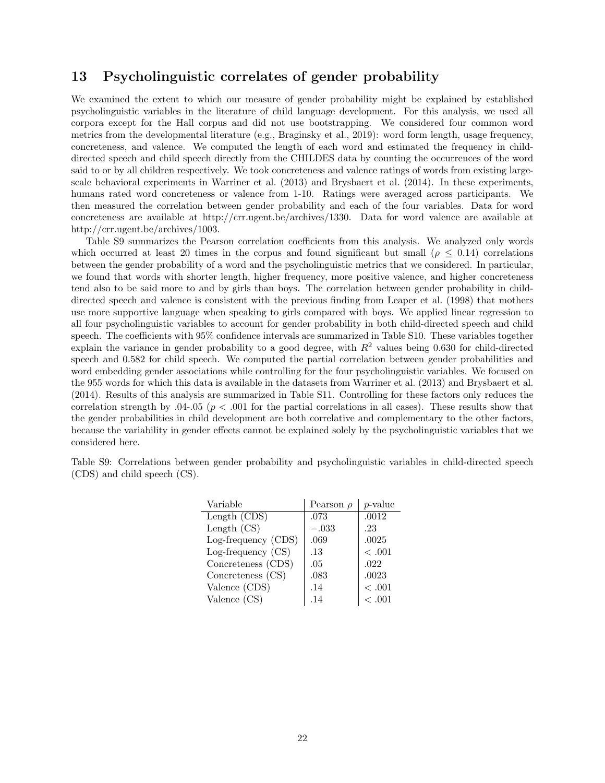#### 13 Psycholinguistic correlates of gender probability

We examined the extent to which our measure of gender probability might be explained by established psycholinguistic variables in the literature of child language development. For this analysis, we used all corpora except for the Hall corpus and did not use bootstrapping. We considered four common word metrics from the developmental literature (e.g., Braginsky et al., 2019): word form length, usage frequency, concreteness, and valence. We computed the length of each word and estimated the frequency in childdirected speech and child speech directly from the CHILDES data by counting the occurrences of the word said to or by all children respectively. We took concreteness and valence ratings of words from existing largescale behavioral experiments in Warriner et al. (2013) and Brysbaert et al. (2014). In these experiments, humans rated word concreteness or valence from 1-10. Ratings were averaged across participants. We then measured the correlation between gender probability and each of the four variables. Data for word concreteness are available at http://crr.ugent.be/archives/1330. Data for word valence are available at http://crr.ugent.be/archives/1003.

Table S9 summarizes the Pearson correlation coefficients from this analysis. We analyzed only words which occurred at least 20 times in the corpus and found significant but small ( $\rho \leq 0.14$ ) correlations between the gender probability of a word and the psycholinguistic metrics that we considered. In particular, we found that words with shorter length, higher frequency, more positive valence, and higher concreteness tend also to be said more to and by girls than boys. The correlation between gender probability in childdirected speech and valence is consistent with the previous finding from Leaper et al. (1998) that mothers use more supportive language when speaking to girls compared with boys. We applied linear regression to all four psycholinguistic variables to account for gender probability in both child-directed speech and child speech. The coefficients with 95% confidence intervals are summarized in Table S10. These variables together explain the variance in gender probability to a good degree, with  $R<sup>2</sup>$  values being 0.630 for child-directed speech and 0.582 for child speech. We computed the partial correlation between gender probabilities and word embedding gender associations while controlling for the four psycholinguistic variables. We focused on the 955 words for which this data is available in the datasets from Warriner et al. (2013) and Brysbaert et al. (2014). Results of this analysis are summarized in Table S11. Controlling for these factors only reduces the correlation strength by .04-.05 ( $p < .001$  for the partial correlations in all cases). These results show that the gender probabilities in child development are both correlative and complementary to the other factors, because the variability in gender effects cannot be explained solely by the psycholinguistic variables that we considered here.

Table S9: Correlations between gender probability and psycholinguistic variables in child-directed speech (CDS) and child speech (CS).

| Variable             | Pearson $\rho$ | $p$ -value |
|----------------------|----------------|------------|
| Length (CDS)         | .073           | .0012      |
| Length $(CS)$        | $-.033$        | .23        |
| Log-frequency (CDS)  | .069           | .0025      |
| Log-frequency $(CS)$ | .13            | <.001      |
| Concreteness (CDS)   | .05            | .022       |
| Concreteness (CS)    | .083           | .0023      |
| Valence (CDS)        | .14            | <.001      |
| Valence $(CS)$       | .14            | <.001      |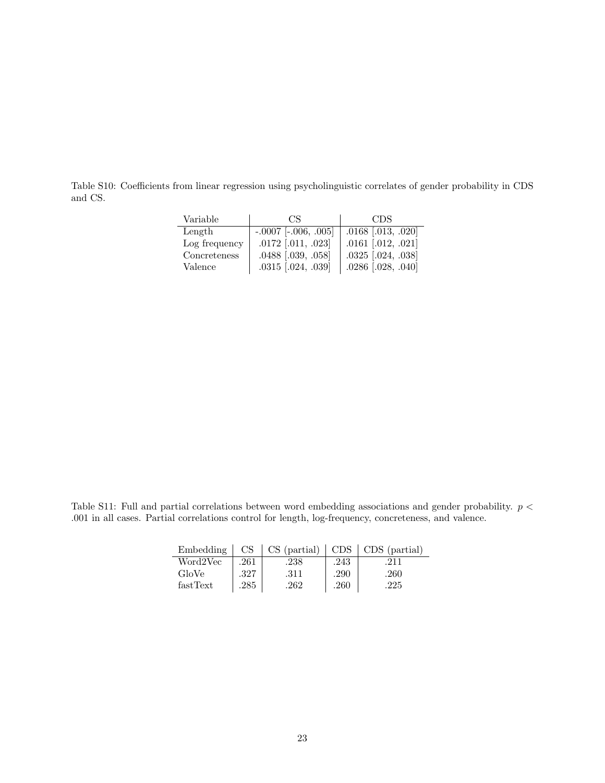Table S10: Coefficients from linear regression using psycholinguistic correlates of gender probability in CDS and CS.

| Variable      | CS.                      | CDS.                   |
|---------------|--------------------------|------------------------|
| Length        | $-.0007$ $[-.006, .005]$ | $.0168$ [.013, .020]   |
| Log frequency | $.0172$ [.011, .023]     | $.0161$ $[.012, .021]$ |
| Concreteness  | .0488 [.039, .058]       | $.0325$ $[.024, .038]$ |
| Valence       | $.0315$ $[.024, .039]$   | $.0286$ $[.028, .040]$ |

Table S11: Full and partial correlations between word embedding associations and gender probability.  $p <$ .001 in all cases. Partial correlations control for length, log-frequency, concreteness, and valence.

| Embedding | CS   | $CS$ (partial) | CDS  | CDS (partial) |
|-----------|------|----------------|------|---------------|
| Word2Vec  | .261 | .238           | .243 | 211           |
| GloVe     | .327 | .311           | .290 | .260          |
| fastText  | .285 | .262           | .260 | .225          |